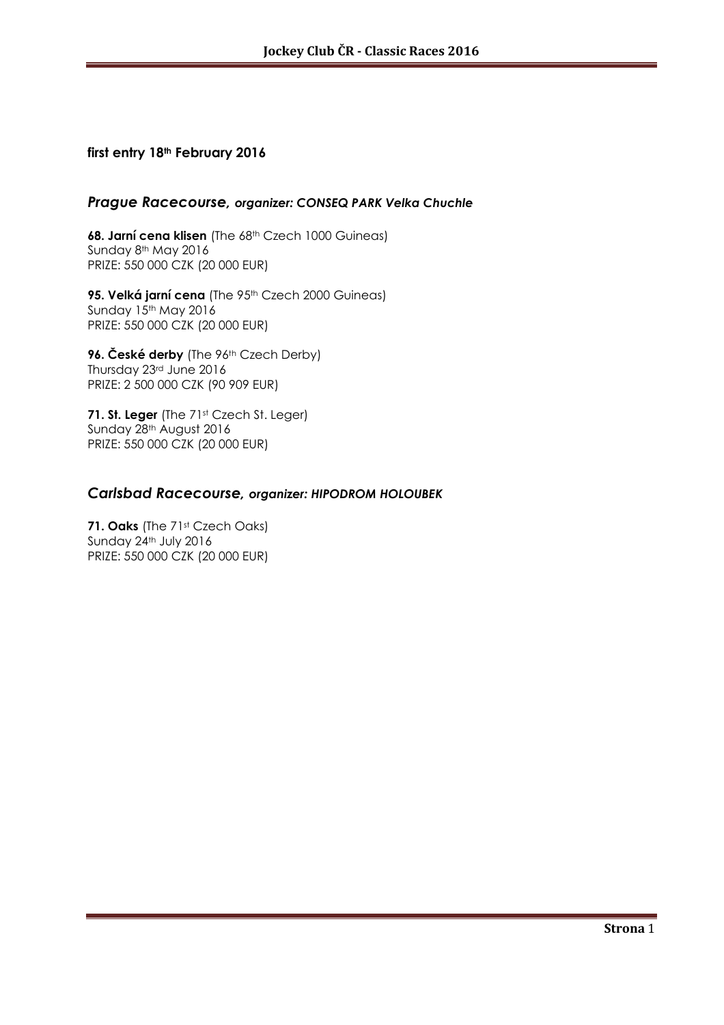#### **first entry 18th February 2016**

#### *Prague Racecourse, organizer: CONSEQ PARK Velka Chuchle*

**68. Jarní cena klisen** (The 68<sup>th</sup> Czech 1000 Guineas) Sunday 8<sup>th</sup> May 2016 PRIZE: 550 000 CZK (20 000 EUR)

95. Velká jarní cena (The 95<sup>th</sup> Czech 2000 Guineas) Sunday 15th May 2016 PRIZE: 550 000 CZK (20 000 EUR)

**96. České derby** (The 96th Czech Derby) Thursday 23rd June 2016 PRIZE: 2 500 000 CZK (90 909 EUR)

71. St. Leger (The 71<sup>st</sup> Czech St. Leger) Sunday 28th August 2016 PRIZE: 550 000 CZK (20 000 EUR)

## *Carlsbad Racecourse, organizer: HIPODROM HOLOUBEK*

**71. Oaks** (The 71st Czech Oaks) Sunday 24<sup>th</sup> July 2016 PRIZE: 550 000 CZK (20 000 EUR)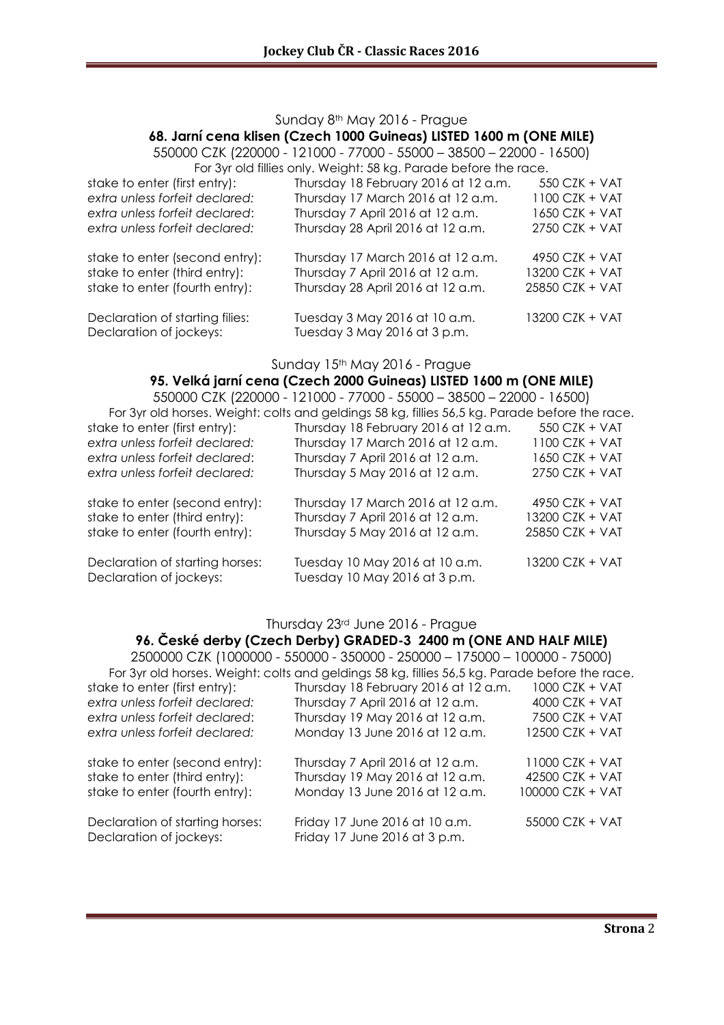#### Sunday 8th May 2016 - Prague

#### **68. Jarní cena klisen (Czech 1000 Guineas) LISTED 1600 m (ONE MILE)**

550000 CZK (220000 - 121000 - 77000 - 55000 – 38500 – 22000 - 16500) For 3yr old fillies only. Weight: 58 kg. Parade before the race.

|                                                            | $\sim$ . The state is a state of the state of the state is the state of the state of the state of the state of the state of the state of the state of the state of the state of the state of the state of the state of the stat |                  |
|------------------------------------------------------------|---------------------------------------------------------------------------------------------------------------------------------------------------------------------------------------------------------------------------------|------------------|
| stake to enter (first entry):                              | Thursday 18 February 2016 at 12 a.m.                                                                                                                                                                                            | 550 CZK + VAT    |
| extra unless forfeit declared:                             | Thursday 17 March 2016 at 12 a.m.                                                                                                                                                                                               | 1100 CZK + VAT   |
| extra unless forfeit declared:                             | Thursday 7 April 2016 at 12 a.m.                                                                                                                                                                                                | 1650 CZK + VAT   |
| extra unless forfeit declared:                             | Thursday 28 April 2016 at 12 a.m.                                                                                                                                                                                               | 2750 CZK + VAT   |
| stake to enter (second entry):                             | Thursday 17 March 2016 at 12 a.m.                                                                                                                                                                                               | 4950 CZK + $VAT$ |
| stake to enter (third entry):                              | Thursday 7 April 2016 at 12 a.m.                                                                                                                                                                                                | 13200 CZK + VAT  |
| stake to enter (fourth entry):                             | Thursday 28 April 2016 at 12 a.m.                                                                                                                                                                                               | 25850 CZK + VAT  |
| Declaration of starting filies:<br>Declaration of jockeys: | Tuesday 3 May 2016 at 10 a.m.<br>Tuesday 3 May 2016 at 3 p.m.                                                                                                                                                                   | 13200 CZK + VAT  |

Sunday 15<sup>th</sup> May 2016 - Prague

# **95. Velká jarní cena (Czech 2000 Guineas) LISTED 1600 m (ONE MILE)**

| 550000 CZK (220000 - 121000 - 77000 - 55000 - 38500 - 22000 - 16500)                           |                                                                 |                  |  |
|------------------------------------------------------------------------------------------------|-----------------------------------------------------------------|------------------|--|
| For 3yr old horses. Weight: colts and geldings 58 kg, fillies 56,5 kg. Parade before the race. |                                                                 |                  |  |
| stake to enter (first entry):                                                                  | Thursday 18 February 2016 at 12 a.m.                            | 550 CZK + VAT    |  |
| extra unless forfeit declared:                                                                 | Thursday 17 March 2016 at 12 a.m.                               | $1100$ CZK + VAT |  |
| extra unless forfeit declared:                                                                 | Thursday 7 April 2016 at 12 a.m.                                | 1650 CZK + VAT   |  |
| extra unless forfeit declared:                                                                 | Thursday 5 May 2016 at 12 a.m.                                  | 2750 CZK + VAT   |  |
| stake to enter (second entry):                                                                 | Thursday 17 March 2016 at 12 a.m.                               | 4950 $CZK + VAT$ |  |
| stake to enter (third entry):                                                                  | Thursday 7 April 2016 at 12 a.m.                                | 13200 CZK + VAT  |  |
| stake to enter (fourth entry):                                                                 | Thursday 5 May 2016 at 12 a.m.                                  | 25850 CZK + VAT  |  |
| Declaration of starting horses:<br>Declaration of jockeys:                                     | Tuesday 10 May 2016 at 10 a.m.<br>Tuesday 10 May 2016 at 3 p.m. | 13200 CZK + VAT  |  |

#### Thursday 23rd June 2016 - Prague

#### **96. České derby (Czech Derby) GRADED-3 2400 m (ONE AND HALF MILE)**

2500000 CZK (1000000 - 550000 - 350000 - 250000 – 175000 – 100000 - 75000) For 3yr old horses. Weight: colts and geldings 58 kg, fillies 56,5 kg. Parade before the race.<br>stake to enter (first entry): Thursday 18 February 2016 at 12 a.m. 1000 CZK + VAT Thursday 18 February 2016 at 12 a.m.  $1000$  CZK + VAT *extra unless forfeit declared:* Thursday 7 April 2016 at 12 a.m. 4000 CZK + VAT *extra unless forfeit declared*: Thursday 19 May 2016 at 12 a.m. 7500 CZK + VAT *extra unless forfeit declared:* Monday 13 June 2016 at 12 a.m. 12500 CZK + VAT stake to enter (second entry): Thursday 7 April 2016 at 12 a.m. 11000 CZK + VAT stake to enter (third entry): Thursday 19 May 2016 at 12 a.m. 42500 CZK + VAT stake to enter (fourth entry): Monday 13 June 2016 at 12 a.m. 100000 CZK + VAT Declaration of starting horses: Friday 17 June 2016 at 10 a.m. 55000 CZK + VAT Declaration of jockeys: Friday 17 June 2016 at 3 p.m.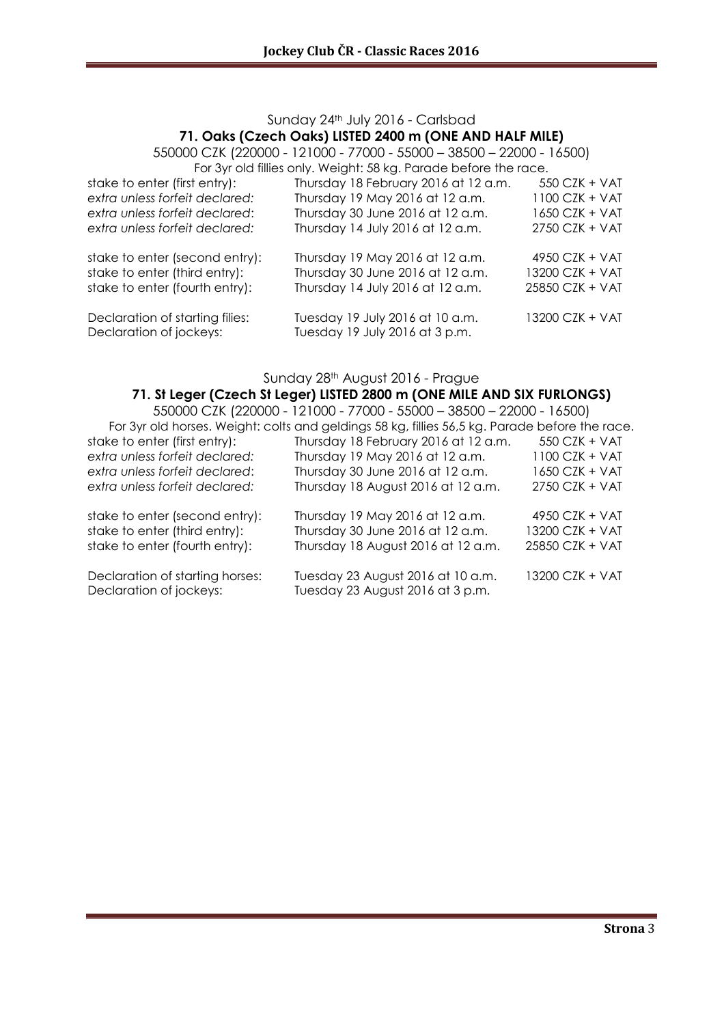## Sunday 24th July 2016 - Carlsbad **71. Oaks (Czech Oaks) LISTED 2400 m (ONE AND HALF MILE)**

550000 CZK (220000 - 121000 - 77000 - 55000 – 38500 – 22000 - 16500) For 3yr old fillies only. Weight: 58 kg. Parade before the race.

| stake to enter (first entry):   | Thursday 18 February 2016 at 12 a.m. | 550 CZK + VAT    |
|---------------------------------|--------------------------------------|------------------|
| extra unless forfeit declared:  | Thursday 19 May 2016 at 12 a.m.      | 1100 CZK + VAT   |
| extra unless forfeit declared:  | Thursday 30 June 2016 at 12 a.m.     | 1650 CZK + VAT   |
| extra unless forfeit declared:  | Thursday 14 July 2016 at 12 a.m.     | 2750 CZK + VAT   |
| stake to enter (second entry):  | Thursday 19 May 2016 at 12 a.m.      | $4950$ CZK + VAT |
| stake to enter (third entry):   | Thursday 30 June 2016 at 12 a.m.     | 13200 CZK + VAT  |
| stake to enter (fourth entry):  | Thursday 14 July 2016 at 12 a.m.     | 25850 CZK + VAT  |
| Declaration of starting filies: | Tuesday 19 July 2016 at 10 a.m.      | 13200 CZK + VAT  |
| Declaration of jockeys:         | Tuesday 19 July 2016 at 3 p.m.       |                  |

Sunday 28th August 2016 - Prague

#### **71. St Leger (Czech St Leger) LISTED 2800 m (ONE MILE AND SIX FURLONGS)**

| 550000 CZK (220000 - 121000 - 77000 - 55000 - 38500 - 22000 - 16500)                           |                                                                       |                  |  |
|------------------------------------------------------------------------------------------------|-----------------------------------------------------------------------|------------------|--|
| For 3yr old horses. Weight: colts and geldings 58 kg, fillies 56,5 kg. Parade before the race. |                                                                       |                  |  |
| stake to enter (first entry):                                                                  | Thursday 18 February 2016 at 12 a.m.                                  | 550 CZK + VAT    |  |
| extra unless forfeit declared:                                                                 | Thursday 19 May 2016 at 12 a.m.                                       | 1100 CZK + VAT   |  |
| extra unless forfeit declared:                                                                 | Thursday 30 June 2016 at 12 a.m.                                      | $1650$ CZK + VAT |  |
| extra unless forfeit declared:                                                                 | Thursday 18 August 2016 at 12 a.m.                                    | 2750 CZK + VAT   |  |
| stake to enter (second entry):                                                                 | Thursday 19 May 2016 at 12 a.m.                                       | 4950 CZK + VAT   |  |
| stake to enter (third entry):                                                                  | Thursday 30 June 2016 at 12 a.m.                                      | 13200 CZK + VAT  |  |
| stake to enter (fourth entry):                                                                 | Thursday 18 August 2016 at 12 a.m.                                    | 25850 CZK + VAT  |  |
| Declaration of starting horses:<br>Declaration of jockeys:                                     | Tuesday 23 August 2016 at 10 a.m.<br>Tuesday 23 August 2016 at 3 p.m. | 13200 CZK + VAT  |  |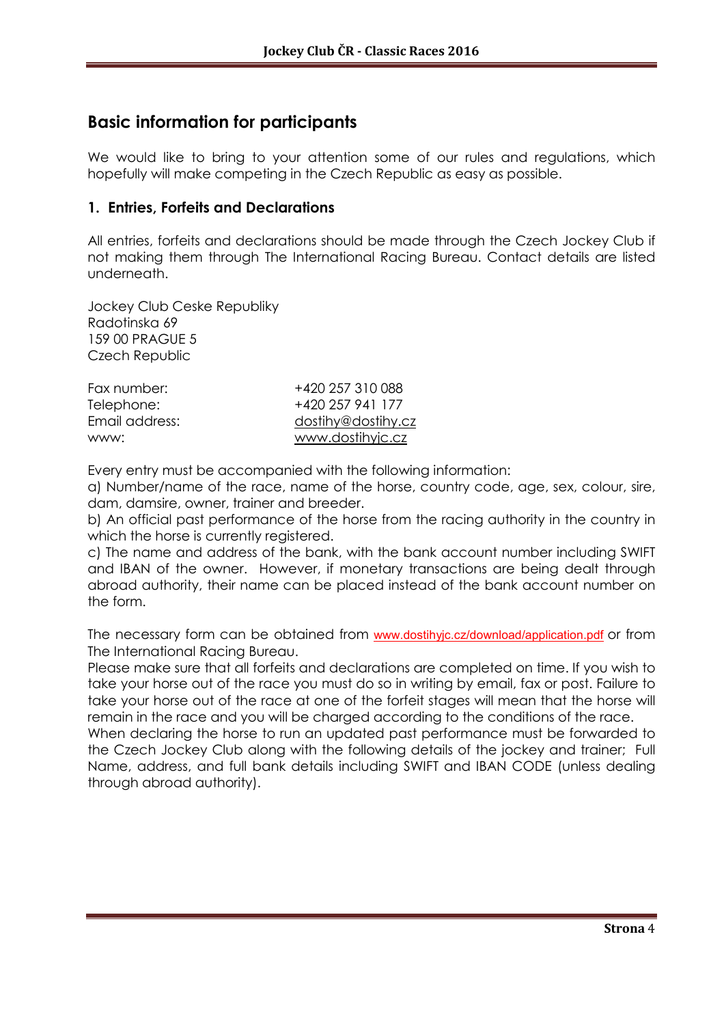# **Basic information for participants**

We would like to bring to your attention some of our rules and regulations, which hopefully will make competing in the Czech Republic as easy as possible.

## **1. Entries, Forfeits and Declarations**

All entries, forfeits and declarations should be made through the Czech Jockey Club if not making them through The International Racing Bureau. Contact details are listed underneath.

Jockey Club Ceske Republiky Radotinska 69 159 00 PRAGUE 5 Czech Republic

| Fax number:    | +420 257 310 088   |
|----------------|--------------------|
| Telephone:     | +420 257 941 177   |
| Email address: | dostihy@dostihy.cz |
| www:           | www.dostihyjc.cz   |

Every entry must be accompanied with the following information:

a) Number/name of the race, name of the horse, country code, age, sex, colour, sire, dam, damsire, owner, trainer and breeder.

b) An official past performance of the horse from the racing authority in the country in which the horse is currently registered.

c) The name and address of the bank, with the bank account number including SWIFT and IBAN of the owner. However, if monetary transactions are being dealt through abroad authority, their name can be placed instead of the bank account number on the form.

The necessary form can be obtained from www.dostihyjc.cz/download/application.pdf or from The International Racing Bureau.

Please make sure that all forfeits and declarations are completed on time. If you wish to take your horse out of the race you must do so in writing by email, fax or post. Failure to take your horse out of the race at one of the forfeit stages will mean that the horse will remain in the race and you will be charged according to the conditions of the race.

When declaring the horse to run an updated past performance must be forwarded to the Czech Jockey Club along with the following details of the jockey and trainer; Full Name, address, and full bank details including SWIFT and IBAN CODE (unless dealing through abroad authority).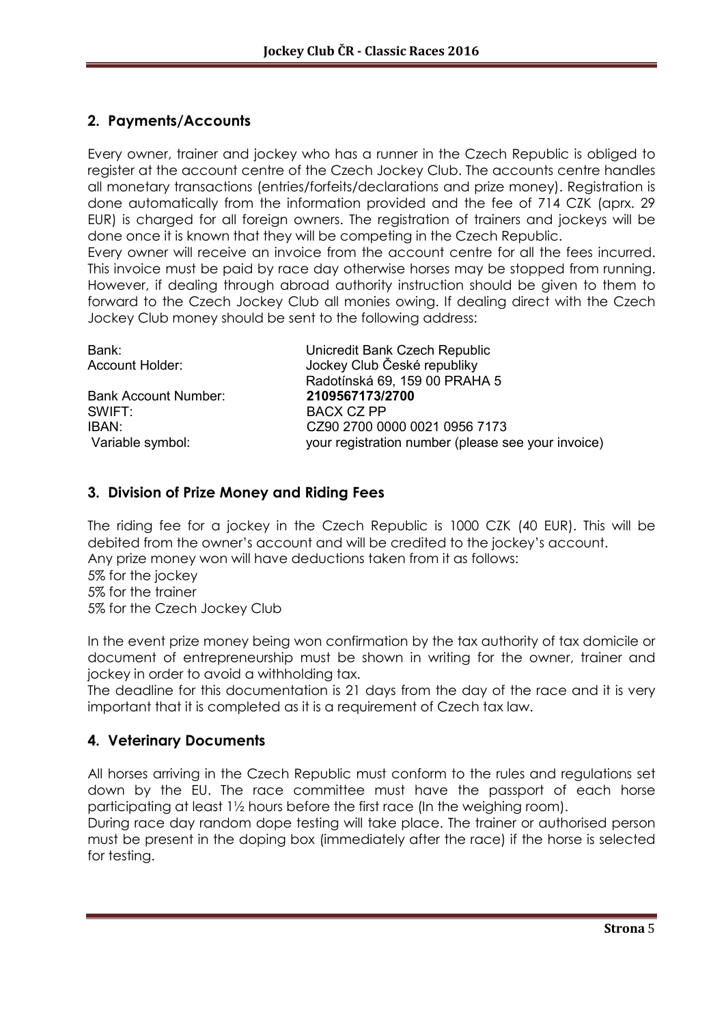# **2. Payments/Accounts**

Every owner, trainer and jockey who has a runner in the Czech Republic is obliged to register at the account centre of the Czech Jockey Club. The accounts centre handles all monetary transactions (entries/forfeits/declarations and prize money). Registration is done automatically from the information provided and the fee of 714 CZK (aprx. 29 EUR) is charged for all foreign owners. The registration of trainers and jockeys will be done once it is known that they will be competing in the Czech Republic.

Every owner will receive an invoice from the account centre for all the fees incurred. This invoice must be paid by race day otherwise horses may be stopped from running. However, if dealing through abroad authority instruction should be given to them to forward to the Czech Jockey Club all monies owing. If dealing direct with the Czech Jockey Club money should be sent to the following address:

| Unicredit Bank Czech Republic                      |
|----------------------------------------------------|
| Jockey Club České republiky                        |
| Radotínská 69, 159 00 PRAHA 5                      |
| 2109567173/2700                                    |
| <b>BACX CZ PP</b>                                  |
| CZ90 2700 0000 0021 0956 7173                      |
| your registration number (please see your invoice) |
|                                                    |

# **3. Division of Prize Money and Riding Fees**

The riding fee for a jockey in the Czech Republic is 1000 CZK (40 EUR). This will be debited from the owner's account and will be credited to the jockey's account. Any prize money won will have deductions taken from it as follows: 5% for the jockey 5% for the trainer 5% for the Czech Jockey Club

In the event prize money being won confirmation by the tax authority of tax domicile or document of entrepreneurship must be shown in writing for the owner, trainer and jockey in order to avoid a withholding tax.

The deadline for this documentation is 21 days from the day of the race and it is very important that it is completed as it is a requirement of Czech tax law.

# **4. Veterinary Documents**

All horses arriving in the Czech Republic must conform to the rules and regulations set down by the EU. The race committee must have the passport of each horse participating at least 1½ hours before the first race (In the weighing room).

During race day random dope testing will take place. The trainer or authorised person must be present in the doping box (immediately after the race) if the horse is selected for testing.